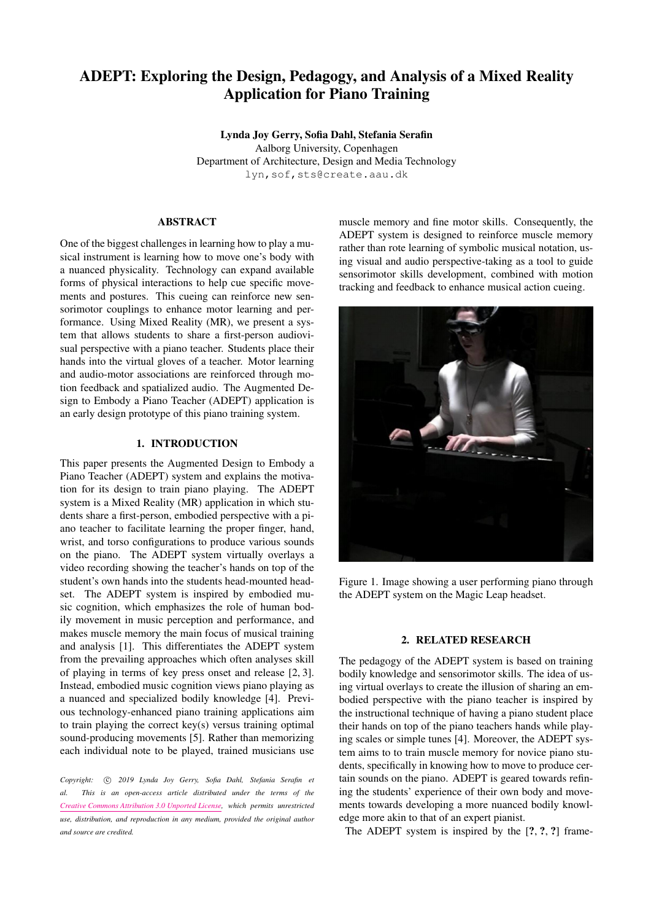# ADEPT: Exploring the Design, Pedagogy, and Analysis of a Mixed Reality Application for Piano Training

Lynda Joy Gerry, Sofia Dahl, Stefania Serafin Aalborg University, Copenhagen Department of Architecture, Design and Media Technology [lyn,sof,sts@create.aau.dk](mailto: lyn,sof,sts@create.aau.dk)

# ABSTRACT

One of the biggest challenges in learning how to play a musical instrument is learning how to move one's body with a nuanced physicality. Technology can expand available forms of physical interactions to help cue specific movements and postures. This cueing can reinforce new sensorimotor couplings to enhance motor learning and performance. Using Mixed Reality (MR), we present a system that allows students to share a first-person audiovisual perspective with a piano teacher. Students place their hands into the virtual gloves of a teacher. Motor learning and audio-motor associations are reinforced through motion feedback and spatialized audio. The Augmented Design to Embody a Piano Teacher (ADEPT) application is an early design prototype of this piano training system.

# 1. INTRODUCTION

This paper presents the Augmented Design to Embody a Piano Teacher (ADEPT) system and explains the motivation for its design to train piano playing. The ADEPT system is a Mixed Reality (MR) application in which students share a first-person, embodied perspective with a piano teacher to facilitate learning the proper finger, hand, wrist, and torso configurations to produce various sounds on the piano. The ADEPT system virtually overlays a video recording showing the teacher's hands on top of the student's own hands into the students head-mounted headset. The ADEPT system is inspired by embodied music cognition, which emphasizes the role of human bodily movement in music perception and performance, and makes muscle memory the main focus of musical training and analysis [\[1\]](#page-6-0). This differentiates the ADEPT system from the prevailing approaches which often analyses skill of playing in terms of key press onset and release [\[2,](#page-6-1) [3\]](#page-6-2). Instead, embodied music cognition views piano playing as a nuanced and specialized bodily knowledge [\[4\]](#page-6-3). Previous technology-enhanced piano training applications aim to train playing the correct key(s) versus training optimal sound-producing movements [\[5\]](#page-6-4). Rather than memorizing each individual note to be played, trained musicians use

Copyright:  $\odot$  2019 Lynda Joy Gerry, Sofia Dahl, Stefania Serafin et *al. This is an open-access article distributed under the terms of the [Creative Commons Attribution 3.0 Unported License,](http://creativecommons.org/licenses/by/3.0/) which permits unrestricted use, distribution, and reproduction in any medium, provided the original author and source are credited.*

muscle memory and fine motor skills. Consequently, the ADEPT system is designed to reinforce muscle memory rather than rote learning of symbolic musical notation, using visual and audio perspective-taking as a tool to guide sensorimotor skills development, combined with motion tracking and feedback to enhance musical action cueing.



Figure 1. Image showing a user performing piano through the ADEPT system on the Magic Leap headset.

## 2. RELATED RESEARCH

The pedagogy of the ADEPT system is based on training bodily knowledge and sensorimotor skills. The idea of using virtual overlays to create the illusion of sharing an embodied perspective with the piano teacher is inspired by the instructional technique of having a piano student place their hands on top of the piano teachers hands while playing scales or simple tunes [\[4\]](#page-6-3). Moreover, the ADEPT system aims to to train muscle memory for novice piano students, specifically in knowing how to move to produce certain sounds on the piano. ADEPT is geared towards refining the students' experience of their own body and movements towards developing a more nuanced bodily knowledge more akin to that of an expert pianist.

The ADEPT system is inspired by the  $[?,?,?]$  frame-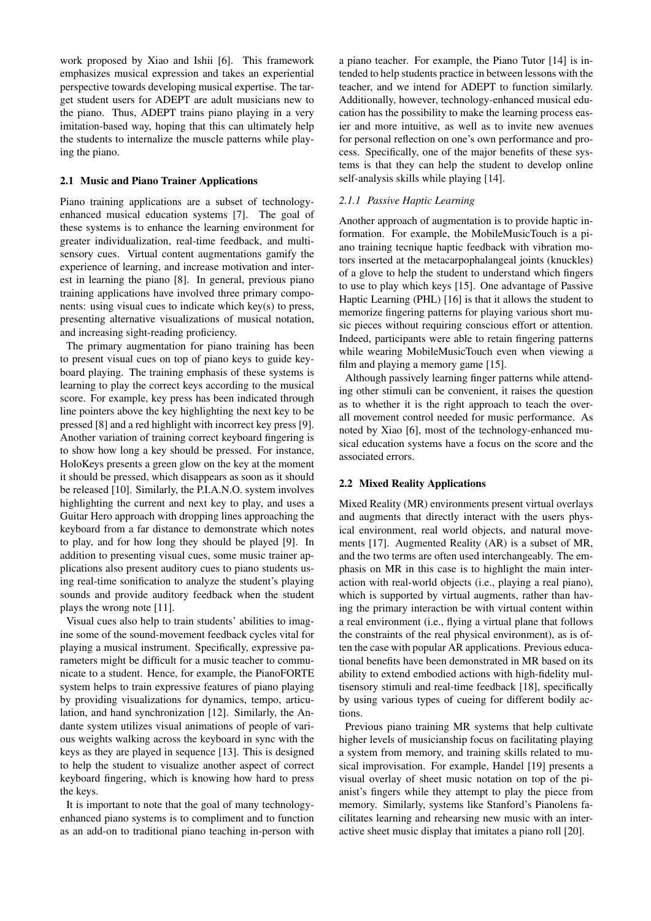work proposed by Xiao and Ishii [\[6\]](#page-6-5). This framework emphasizes musical expression and takes an experiential perspective towards developing musical expertise. The target student users for ADEPT are adult musicians new to the piano. Thus, ADEPT trains piano playing in a very imitation-based way, hoping that this can ultimately help the students to internalize the muscle patterns while playing the piano.

#### 2.1 Music and Piano Trainer Applications

Piano training applications are a subset of technologyenhanced musical education systems [\[7\]](#page-6-6). The goal of these systems is to enhance the learning environment for greater individualization, real-time feedback, and multisensory cues. Virtual content augmentations gamify the experience of learning, and increase motivation and interest in learning the piano [\[8\]](#page-6-7). In general, previous piano training applications have involved three primary components: using visual cues to indicate which key(s) to press, presenting alternative visualizations of musical notation, and increasing sight-reading proficiency.

The primary augmentation for piano training has been to present visual cues on top of piano keys to guide keyboard playing. The training emphasis of these systems is learning to play the correct keys according to the musical score. For example, key press has been indicated through line pointers above the key highlighting the next key to be pressed [\[8\]](#page-6-7) and a red highlight with incorrect key press [\[9\]](#page-6-8). Another variation of training correct keyboard fingering is to show how long a key should be pressed. For instance, HoloKeys presents a green glow on the key at the moment it should be pressed, which disappears as soon as it should be released [\[10\]](#page-6-9). Similarly, the P.I.A.N.O. system involves highlighting the current and next key to play, and uses a Guitar Hero approach with dropping lines approaching the keyboard from a far distance to demonstrate which notes to play, and for how long they should be played [\[9\]](#page-6-8). In addition to presenting visual cues, some music trainer applications also present auditory cues to piano students using real-time sonification to analyze the student's playing sounds and provide auditory feedback when the student plays the wrong note [\[11\]](#page-6-10).

Visual cues also help to train students' abilities to imagine some of the sound-movement feedback cycles vital for playing a musical instrument. Specifically, expressive parameters might be difficult for a music teacher to communicate to a student. Hence, for example, the PianoFORTE system helps to train expressive features of piano playing by providing visualizations for dynamics, tempo, articulation, and hand synchronization [\[12\]](#page-7-0). Similarly, the Andante system utilizes visual animations of people of various weights walking across the keyboard in sync with the keys as they are played in sequence [\[13\]](#page-7-1). This is designed to help the student to visualize another aspect of correct keyboard fingering, which is knowing how hard to press the keys.

It is important to note that the goal of many technologyenhanced piano systems is to compliment and to function as an add-on to traditional piano teaching in-person with a piano teacher. For example, the Piano Tutor [\[14\]](#page-7-2) is intended to help students practice in between lessons with the teacher, and we intend for ADEPT to function similarly. Additionally, however, technology-enhanced musical education has the possibility to make the learning process easier and more intuitive, as well as to invite new avenues for personal reflection on one's own performance and process. Specifically, one of the major benefits of these systems is that they can help the student to develop online self-analysis skills while playing [\[14\]](#page-7-2).

#### *2.1.1 Passive Haptic Learning*

Another approach of augmentation is to provide haptic information. For example, the MobileMusicTouch is a piano training tecnique haptic feedback with vibration motors inserted at the metacarpophalangeal joints (knuckles) of a glove to help the student to understand which fingers to use to play which keys [\[15\]](#page-7-3). One advantage of Passive Haptic Learning (PHL) [\[16\]](#page-7-4) is that it allows the student to memorize fingering patterns for playing various short music pieces without requiring conscious effort or attention. Indeed, participants were able to retain fingering patterns while wearing MobileMusicTouch even when viewing a film and playing a memory game [\[15\]](#page-7-3).

Although passively learning finger patterns while attending other stimuli can be convenient, it raises the question as to whether it is the right approach to teach the overall movement control needed for music performance. As noted by Xiao [\[6\]](#page-6-5), most of the technology-enhanced musical education systems have a focus on the score and the associated errors.

#### 2.2 Mixed Reality Applications

Mixed Reality (MR) environments present virtual overlays and augments that directly interact with the users physical environment, real world objects, and natural movements [\[17\]](#page-7-5). Augmented Reality (AR) is a subset of MR, and the two terms are often used interchangeably. The emphasis on MR in this case is to highlight the main interaction with real-world objects (i.e., playing a real piano), which is supported by virtual augments, rather than having the primary interaction be with virtual content within a real environment (i.e., flying a virtual plane that follows the constraints of the real physical environment), as is often the case with popular AR applications. Previous educational benefits have been demonstrated in MR based on its ability to extend embodied actions with high-fidelity multisensory stimuli and real-time feedback [\[18\]](#page-7-6), specifically by using various types of cueing for different bodily actions.

Previous piano training MR systems that help cultivate higher levels of musicianship focus on facilitating playing a system from memory, and training skills related to musical improvisation. For example, Handel [\[19\]](#page-7-7) presents a visual overlay of sheet music notation on top of the pianist's fingers while they attempt to play the piece from memory. Similarly, systems like Stanford's Pianolens facilitates learning and rehearsing new music with an interactive sheet music display that imitates a piano roll [\[20\]](#page-7-8).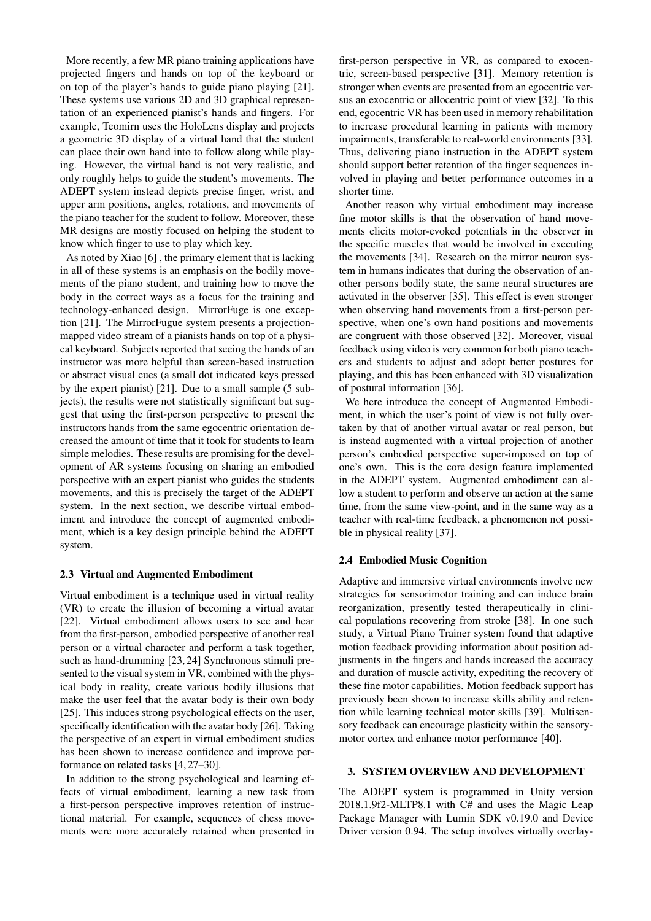More recently, a few MR piano training applications have projected fingers and hands on top of the keyboard or on top of the player's hands to guide piano playing [\[21\]](#page-7-9). These systems use various 2D and 3D graphical representation of an experienced pianist's hands and fingers. For example, Teomirn uses the HoloLens display and projects a geometric 3D display of a virtual hand that the student can place their own hand into to follow along while playing. However, the virtual hand is not very realistic, and only roughly helps to guide the student's movements. The ADEPT system instead depicts precise finger, wrist, and upper arm positions, angles, rotations, and movements of the piano teacher for the student to follow. Moreover, these MR designs are mostly focused on helping the student to know which finger to use to play which key.

As noted by Xiao [\[6\]](#page-6-5) , the primary element that is lacking in all of these systems is an emphasis on the bodily movements of the piano student, and training how to move the body in the correct ways as a focus for the training and technology-enhanced design. MirrorFuge is one exception [\[21\]](#page-7-9). The MirrorFugue system presents a projectionmapped video stream of a pianists hands on top of a physical keyboard. Subjects reported that seeing the hands of an instructor was more helpful than screen-based instruction or abstract visual cues (a small dot indicated keys pressed by the expert pianist) [\[21\]](#page-7-9). Due to a small sample (5 subjects), the results were not statistically significant but suggest that using the first-person perspective to present the instructors hands from the same egocentric orientation decreased the amount of time that it took for students to learn simple melodies. These results are promising for the development of AR systems focusing on sharing an embodied perspective with an expert pianist who guides the students movements, and this is precisely the target of the ADEPT system. In the next section, we describe virtual embodiment and introduce the concept of augmented embodiment, which is a key design principle behind the ADEPT system.

#### 2.3 Virtual and Augmented Embodiment

Virtual embodiment is a technique used in virtual reality (VR) to create the illusion of becoming a virtual avatar [\[22\]](#page-7-10). Virtual embodiment allows users to see and hear from the first-person, embodied perspective of another real person or a virtual character and perform a task together, such as hand-drumming [\[23,](#page-7-11) [24\]](#page-7-12) Synchronous stimuli presented to the visual system in VR, combined with the physical body in reality, create various bodily illusions that make the user feel that the avatar body is their own body [\[25\]](#page-7-13). This induces strong psychological effects on the user, specifically identification with the avatar body [\[26\]](#page-7-14). Taking the perspective of an expert in virtual embodiment studies has been shown to increase confidence and improve performance on related tasks [\[4,](#page-6-3) [27–](#page-7-15)[30\]](#page-7-16).

In addition to the strong psychological and learning effects of virtual embodiment, learning a new task from a first-person perspective improves retention of instructional material. For example, sequences of chess movements were more accurately retained when presented in first-person perspective in VR, as compared to exocentric, screen-based perspective [\[31\]](#page-7-17). Memory retention is stronger when events are presented from an egocentric versus an exocentric or allocentric point of view [\[32\]](#page-7-18). To this end, egocentric VR has been used in memory rehabilitation to increase procedural learning in patients with memory impairments, transferable to real-world environments [\[33\]](#page-7-19). Thus, delivering piano instruction in the ADEPT system should support better retention of the finger sequences involved in playing and better performance outcomes in a shorter time.

Another reason why virtual embodiment may increase fine motor skills is that the observation of hand movements elicits motor-evoked potentials in the observer in the specific muscles that would be involved in executing the movements [\[34\]](#page-7-20). Research on the mirror neuron system in humans indicates that during the observation of another persons bodily state, the same neural structures are activated in the observer [\[35\]](#page-8-0). This effect is even stronger when observing hand movements from a first-person perspective, when one's own hand positions and movements are congruent with those observed [\[32\]](#page-7-18). Moreover, visual feedback using video is very common for both piano teachers and students to adjust and adopt better postures for playing, and this has been enhanced with 3D visualization of postural information [\[36\]](#page-8-1).

We here introduce the concept of Augmented Embodiment, in which the user's point of view is not fully overtaken by that of another virtual avatar or real person, but is instead augmented with a virtual projection of another person's embodied perspective super-imposed on top of one's own. This is the core design feature implemented in the ADEPT system. Augmented embodiment can allow a student to perform and observe an action at the same time, from the same view-point, and in the same way as a teacher with real-time feedback, a phenomenon not possible in physical reality [\[37\]](#page-8-2).

## 2.4 Embodied Music Cognition

Adaptive and immersive virtual environments involve new strategies for sensorimotor training and can induce brain reorganization, presently tested therapeutically in clinical populations recovering from stroke [\[38\]](#page-8-3). In one such study, a Virtual Piano Trainer system found that adaptive motion feedback providing information about position adjustments in the fingers and hands increased the accuracy and duration of muscle activity, expediting the recovery of these fine motor capabilities. Motion feedback support has previously been shown to increase skills ability and retention while learning technical motor skills [\[39\]](#page-8-4). Multisensory feedback can encourage plasticity within the sensorymotor cortex and enhance motor performance [\[40\]](#page-8-5).

## 3. SYSTEM OVERVIEW AND DEVELOPMENT

The ADEPT system is programmed in Unity version 2018.1.9f2-MLTP8.1 with C# and uses the Magic Leap Package Manager with Lumin SDK v0.19.0 and Device Driver version 0.94. The setup involves virtually overlay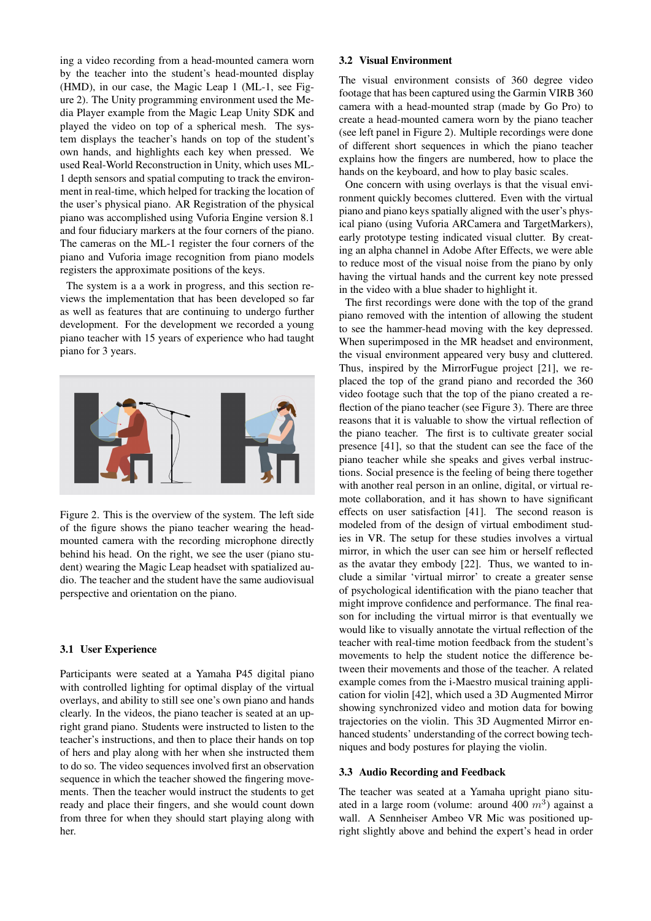ing a video recording from a head-mounted camera worn by the teacher into the student's head-mounted display (HMD), in our case, the Magic Leap 1 (ML-1, see Figure [2\)](#page-3-0). The Unity programming environment used the Media Player example from the Magic Leap Unity SDK and played the video on top of a spherical mesh. The system displays the teacher's hands on top of the student's own hands, and highlights each key when pressed. We used Real-World Reconstruction in Unity, which uses ML-1 depth sensors and spatial computing to track the environment in real-time, which helped for tracking the location of the user's physical piano. AR Registration of the physical piano was accomplished using Vuforia Engine version 8.1 and four fiduciary markers at the four corners of the piano. The cameras on the ML-1 register the four corners of the piano and Vuforia image recognition from piano models registers the approximate positions of the keys.

The system is a a work in progress, and this section reviews the implementation that has been developed so far as well as features that are continuing to undergo further development. For the development we recorded a young piano teacher with 15 years of experience who had taught piano for 3 years.

<span id="page-3-0"></span>

Figure 2. This is the overview of the system. The left side of the figure shows the piano teacher wearing the headmounted camera with the recording microphone directly behind his head. On the right, we see the user (piano student) wearing the Magic Leap headset with spatialized audio. The teacher and the student have the same audiovisual perspective and orientation on the piano.

#### 3.1 User Experience

Participants were seated at a Yamaha P45 digital piano with controlled lighting for optimal display of the virtual overlays, and ability to still see one's own piano and hands clearly. In the videos, the piano teacher is seated at an upright grand piano. Students were instructed to listen to the teacher's instructions, and then to place their hands on top of hers and play along with her when she instructed them to do so. The video sequences involved first an observation sequence in which the teacher showed the fingering movements. Then the teacher would instruct the students to get ready and place their fingers, and she would count down from three for when they should start playing along with her.

#### 3.2 Visual Environment

The visual environment consists of 360 degree video footage that has been captured using the Garmin VIRB 360 camera with a head-mounted strap (made by Go Pro) to create a head-mounted camera worn by the piano teacher (see left panel in Figure [2\)](#page-3-0). Multiple recordings were done of different short sequences in which the piano teacher explains how the fingers are numbered, how to place the hands on the keyboard, and how to play basic scales.

One concern with using overlays is that the visual environment quickly becomes cluttered. Even with the virtual piano and piano keys spatially aligned with the user's physical piano (using Vuforia ARCamera and TargetMarkers), early prototype testing indicated visual clutter. By creating an alpha channel in Adobe After Effects, we were able to reduce most of the visual noise from the piano by only having the virtual hands and the current key note pressed in the video with a blue shader to highlight it.

The first recordings were done with the top of the grand piano removed with the intention of allowing the student to see the hammer-head moving with the key depressed. When superimposed in the MR headset and environment, the visual environment appeared very busy and cluttered. Thus, inspired by the MirrorFugue project [\[21\]](#page-7-9), we replaced the top of the grand piano and recorded the 360 video footage such that the top of the piano created a reflection of the piano teacher (see Figure [3\)](#page-4-0). There are three reasons that it is valuable to show the virtual reflection of the piano teacher. The first is to cultivate greater social presence [\[41\]](#page-8-6), so that the student can see the face of the piano teacher while she speaks and gives verbal instructions. Social presence is the feeling of being there together with another real person in an online, digital, or virtual remote collaboration, and it has shown to have significant effects on user satisfaction [\[41\]](#page-8-6). The second reason is modeled from of the design of virtual embodiment studies in VR. The setup for these studies involves a virtual mirror, in which the user can see him or herself reflected as the avatar they embody [\[22\]](#page-7-10). Thus, we wanted to include a similar 'virtual mirror' to create a greater sense of psychological identification with the piano teacher that might improve confidence and performance. The final reason for including the virtual mirror is that eventually we would like to visually annotate the virtual reflection of the teacher with real-time motion feedback from the student's movements to help the student notice the difference between their movements and those of the teacher. A related example comes from the i-Maestro musical training application for violin [\[42\]](#page-8-7), which used a 3D Augmented Mirror showing synchronized video and motion data for bowing trajectories on the violin. This 3D Augmented Mirror enhanced students' understanding of the correct bowing techniques and body postures for playing the violin.

#### 3.3 Audio Recording and Feedback

The teacher was seated at a Yamaha upright piano situated in a large room (volume: around 400  $m<sup>3</sup>$ ) against a wall. A Sennheiser Ambeo VR Mic was positioned upright slightly above and behind the expert's head in order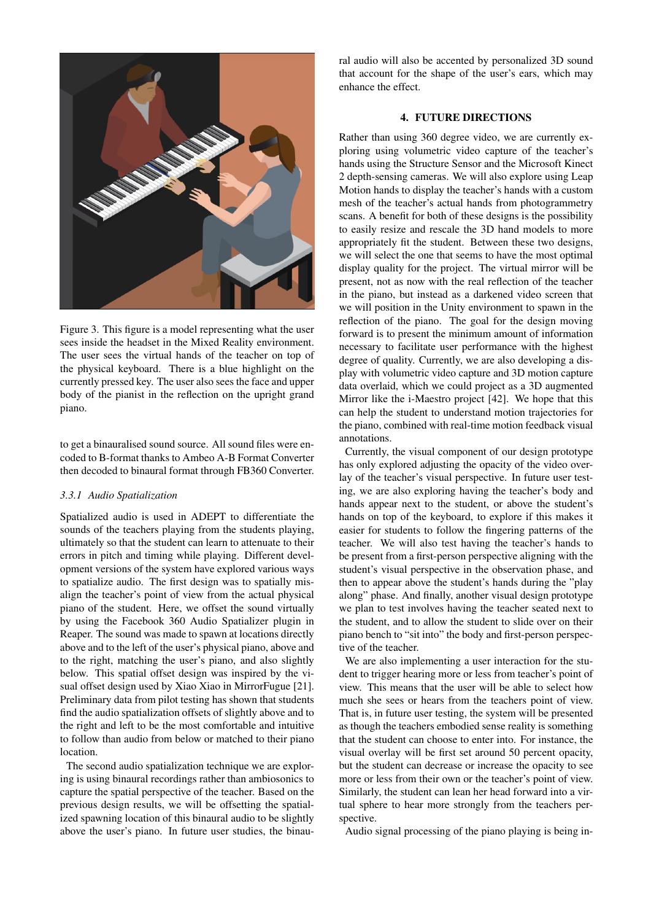<span id="page-4-0"></span>

Figure 3. This figure is a model representing what the user sees inside the headset in the Mixed Reality environment. The user sees the virtual hands of the teacher on top of the physical keyboard. There is a blue highlight on the currently pressed key. The user also sees the face and upper body of the pianist in the reflection on the upright grand piano.

to get a binauralised sound source. All sound files were encoded to B-format thanks to Ambeo A-B Format Converter then decoded to binaural format through FB360 Converter.

## *3.3.1 Audio Spatialization*

Spatialized audio is used in ADEPT to differentiate the sounds of the teachers playing from the students playing, ultimately so that the student can learn to attenuate to their errors in pitch and timing while playing. Different development versions of the system have explored various ways to spatialize audio. The first design was to spatially misalign the teacher's point of view from the actual physical piano of the student. Here, we offset the sound virtually by using the Facebook 360 Audio Spatializer plugin in Reaper. The sound was made to spawn at locations directly above and to the left of the user's physical piano, above and to the right, matching the user's piano, and also slightly below. This spatial offset design was inspired by the visual offset design used by Xiao Xiao in MirrorFugue [\[21\]](#page-7-9). Preliminary data from pilot testing has shown that students find the audio spatialization offsets of slightly above and to the right and left to be the most comfortable and intuitive to follow than audio from below or matched to their piano location.

The second audio spatialization technique we are exploring is using binaural recordings rather than ambiosonics to capture the spatial perspective of the teacher. Based on the previous design results, we will be offsetting the spatialized spawning location of this binaural audio to be slightly above the user's piano. In future user studies, the binaural audio will also be accented by personalized 3D sound that account for the shape of the user's ears, which may enhance the effect.

# 4. FUTURE DIRECTIONS

Rather than using 360 degree video, we are currently exploring using volumetric video capture of the teacher's hands using the Structure Sensor and the Microsoft Kinect 2 depth-sensing cameras. We will also explore using Leap Motion hands to display the teacher's hands with a custom mesh of the teacher's actual hands from photogrammetry scans. A benefit for both of these designs is the possibility to easily resize and rescale the 3D hand models to more appropriately fit the student. Between these two designs, we will select the one that seems to have the most optimal display quality for the project. The virtual mirror will be present, not as now with the real reflection of the teacher in the piano, but instead as a darkened video screen that we will position in the Unity environment to spawn in the reflection of the piano. The goal for the design moving forward is to present the minimum amount of information necessary to facilitate user performance with the highest degree of quality. Currently, we are also developing a display with volumetric video capture and 3D motion capture data overlaid, which we could project as a 3D augmented Mirror like the i-Maestro project [\[42\]](#page-8-7). We hope that this can help the student to understand motion trajectories for the piano, combined with real-time motion feedback visual annotations.

Currently, the visual component of our design prototype has only explored adjusting the opacity of the video overlay of the teacher's visual perspective. In future user testing, we are also exploring having the teacher's body and hands appear next to the student, or above the student's hands on top of the keyboard, to explore if this makes it easier for students to follow the fingering patterns of the teacher. We will also test having the teacher's hands to be present from a first-person perspective aligning with the student's visual perspective in the observation phase, and then to appear above the student's hands during the "play along" phase. And finally, another visual design prototype we plan to test involves having the teacher seated next to the student, and to allow the student to slide over on their piano bench to "sit into" the body and first-person perspective of the teacher.

We are also implementing a user interaction for the student to trigger hearing more or less from teacher's point of view. This means that the user will be able to select how much she sees or hears from the teachers point of view. That is, in future user testing, the system will be presented as though the teachers embodied sense reality is something that the student can choose to enter into. For instance, the visual overlay will be first set around 50 percent opacity, but the student can decrease or increase the opacity to see more or less from their own or the teacher's point of view. Similarly, the student can lean her head forward into a virtual sphere to hear more strongly from the teachers perspective.

Audio signal processing of the piano playing is being in-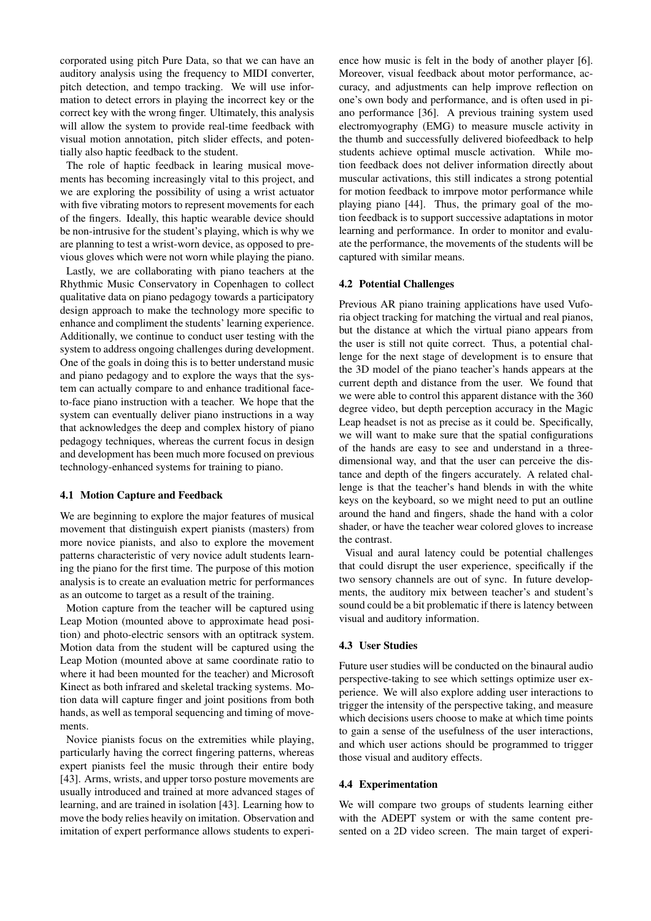corporated using pitch Pure Data, so that we can have an auditory analysis using the frequency to MIDI converter, pitch detection, and tempo tracking. We will use information to detect errors in playing the incorrect key or the correct key with the wrong finger. Ultimately, this analysis will allow the system to provide real-time feedback with visual motion annotation, pitch slider effects, and potentially also haptic feedback to the student.

The role of haptic feedback in learing musical movements has becoming increasingly vital to this project, and we are exploring the possibility of using a wrist actuator with five vibrating motors to represent movements for each of the fingers. Ideally, this haptic wearable device should be non-intrusive for the student's playing, which is why we are planning to test a wrist-worn device, as opposed to previous gloves which were not worn while playing the piano.

Lastly, we are collaborating with piano teachers at the Rhythmic Music Conservatory in Copenhagen to collect qualitative data on piano pedagogy towards a participatory design approach to make the technology more specific to enhance and compliment the students' learning experience. Additionally, we continue to conduct user testing with the system to address ongoing challenges during development. One of the goals in doing this is to better understand music and piano pedagogy and to explore the ways that the system can actually compare to and enhance traditional faceto-face piano instruction with a teacher. We hope that the system can eventually deliver piano instructions in a way that acknowledges the deep and complex history of piano pedagogy techniques, whereas the current focus in design and development has been much more focused on previous technology-enhanced systems for training to piano.

#### 4.1 Motion Capture and Feedback

We are beginning to explore the major features of musical movement that distinguish expert pianists (masters) from more novice pianists, and also to explore the movement patterns characteristic of very novice adult students learning the piano for the first time. The purpose of this motion analysis is to create an evaluation metric for performances as an outcome to target as a result of the training.

Motion capture from the teacher will be captured using Leap Motion (mounted above to approximate head position) and photo-electric sensors with an optitrack system. Motion data from the student will be captured using the Leap Motion (mounted above at same coordinate ratio to where it had been mounted for the teacher) and Microsoft Kinect as both infrared and skeletal tracking systems. Motion data will capture finger and joint positions from both hands, as well as temporal sequencing and timing of movements.

Novice pianists focus on the extremities while playing, particularly having the correct fingering patterns, whereas expert pianists feel the music through their entire body [\[43\]](#page-8-8). Arms, wrists, and upper torso posture movements are usually introduced and trained at more advanced stages of learning, and are trained in isolation [\[43\]](#page-8-8). Learning how to move the body relies heavily on imitation. Observation and imitation of expert performance allows students to experience how music is felt in the body of another player [\[6\]](#page-6-5). Moreover, visual feedback about motor performance, accuracy, and adjustments can help improve reflection on one's own body and performance, and is often used in piano performance [\[36\]](#page-8-1). A previous training system used electromyography (EMG) to measure muscle activity in the thumb and successfully delivered biofeedback to help students achieve optimal muscle activation. While motion feedback does not deliver information directly about muscular activations, this still indicates a strong potential for motion feedback to imrpove motor performance while playing piano [\[44\]](#page-8-9). Thus, the primary goal of the motion feedback is to support successive adaptations in motor learning and performance. In order to monitor and evaluate the performance, the movements of the students will be captured with similar means.

#### 4.2 Potential Challenges

Previous AR piano training applications have used Vuforia object tracking for matching the virtual and real pianos, but the distance at which the virtual piano appears from the user is still not quite correct. Thus, a potential challenge for the next stage of development is to ensure that the 3D model of the piano teacher's hands appears at the current depth and distance from the user. We found that we were able to control this apparent distance with the 360 degree video, but depth perception accuracy in the Magic Leap headset is not as precise as it could be. Specifically, we will want to make sure that the spatial configurations of the hands are easy to see and understand in a threedimensional way, and that the user can perceive the distance and depth of the fingers accurately. A related challenge is that the teacher's hand blends in with the white keys on the keyboard, so we might need to put an outline around the hand and fingers, shade the hand with a color shader, or have the teacher wear colored gloves to increase the contrast.

Visual and aural latency could be potential challenges that could disrupt the user experience, specifically if the two sensory channels are out of sync. In future developments, the auditory mix between teacher's and student's sound could be a bit problematic if there is latency between visual and auditory information.

#### 4.3 User Studies

Future user studies will be conducted on the binaural audio perspective-taking to see which settings optimize user experience. We will also explore adding user interactions to trigger the intensity of the perspective taking, and measure which decisions users choose to make at which time points to gain a sense of the usefulness of the user interactions, and which user actions should be programmed to trigger those visual and auditory effects.

#### 4.4 Experimentation

We will compare two groups of students learning either with the ADEPT system or with the same content presented on a 2D video screen. The main target of experi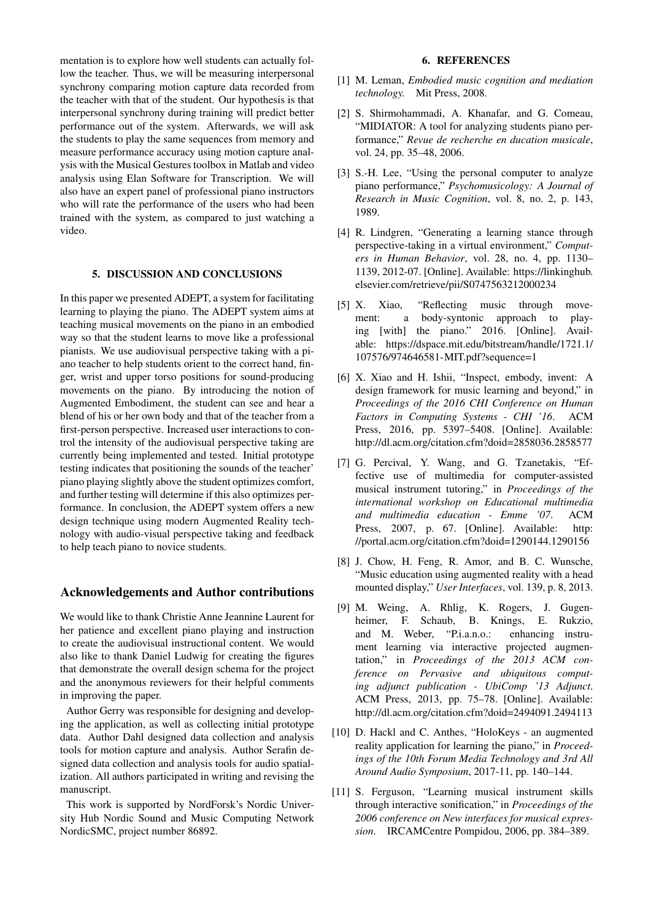mentation is to explore how well students can actually follow the teacher. Thus, we will be measuring interpersonal synchrony comparing motion capture data recorded from the teacher with that of the student. Our hypothesis is that interpersonal synchrony during training will predict better performance out of the system. Afterwards, we will ask the students to play the same sequences from memory and measure performance accuracy using motion capture analysis with the Musical Gestures toolbox in Matlab and video analysis using Elan Software for Transcription. We will also have an expert panel of professional piano instructors who will rate the performance of the users who had been trained with the system, as compared to just watching a video.

## 5. DISCUSSION AND CONCLUSIONS

In this paper we presented ADEPT, a system for facilitating learning to playing the piano. The ADEPT system aims at teaching musical movements on the piano in an embodied way so that the student learns to move like a professional pianists. We use audiovisual perspective taking with a piano teacher to help students orient to the correct hand, finger, wrist and upper torso positions for sound-producing movements on the piano. By introducing the notion of Augmented Embodiment, the student can see and hear a blend of his or her own body and that of the teacher from a first-person perspective. Increased user interactions to control the intensity of the audiovisual perspective taking are currently being implemented and tested. Initial prototype testing indicates that positioning the sounds of the teacher' piano playing slightly above the student optimizes comfort, and further testing will determine if this also optimizes performance. In conclusion, the ADEPT system offers a new design technique using modern Augmented Reality technology with audio-visual perspective taking and feedback to help teach piano to novice students.

# Acknowledgements and Author contributions

We would like to thank Christie Anne Jeannine Laurent for her patience and excellent piano playing and instruction to create the audiovisual instructional content. We would also like to thank Daniel Ludwig for creating the figures that demonstrate the overall design schema for the project and the anonymous reviewers for their helpful comments in improving the paper.

Author Gerry was responsible for designing and developing the application, as well as collecting initial prototype data. Author Dahl designed data collection and analysis tools for motion capture and analysis. Author Serafin designed data collection and analysis tools for audio spatialization. All authors participated in writing and revising the manuscript.

This work is supported by NordForsk's Nordic University Hub Nordic Sound and Music Computing Network NordicSMC, project number 86892.

#### 6. REFERENCES

- <span id="page-6-0"></span>[1] M. Leman, *Embodied music cognition and mediation technology.* Mit Press, 2008.
- <span id="page-6-1"></span>[2] S. Shirmohammadi, A. Khanafar, and G. Comeau, "MIDIATOR: A tool for analyzing students piano performance," *Revue de recherche en ducation musicale*, vol. 24, pp. 35–48, 2006.
- <span id="page-6-2"></span>[3] S.-H. Lee, "Using the personal computer to analyze piano performance," *Psychomusicology: A Journal of Research in Music Cognition*, vol. 8, no. 2, p. 143, 1989.
- <span id="page-6-3"></span>[4] R. Lindgren, "Generating a learning stance through perspective-taking in a virtual environment," *Computers in Human Behavior*, vol. 28, no. 4, pp. 1130– 1139, 2012-07. [Online]. Available: [https://linkinghub.](https://linkinghub.elsevier.com/retrieve/pii/S0747563212000234) [elsevier.com/retrieve/pii/S0747563212000234](https://linkinghub.elsevier.com/retrieve/pii/S0747563212000234)
- <span id="page-6-4"></span>[5] X. Xiao, "Reflecting music through movement: a body-syntonic approach to playing [with] the piano." 2016. [Online]. Available: [https://dspace.mit.edu/bitstream/handle/1721.1/](https://dspace.mit.edu/bitstream/handle/1721.1/107576/974646581-MIT.pdf?sequence=1) [107576/974646581-MIT.pdf?sequence=1](https://dspace.mit.edu/bitstream/handle/1721.1/107576/974646581-MIT.pdf?sequence=1)
- <span id="page-6-5"></span>[6] X. Xiao and H. Ishii, "Inspect, embody, invent: A design framework for music learning and beyond," in *Proceedings of the 2016 CHI Conference on Human Factors in Computing Systems - CHI '16*. ACM Press, 2016, pp. 5397–5408. [Online]. Available: <http://dl.acm.org/citation.cfm?doid=2858036.2858577>
- <span id="page-6-6"></span>[7] G. Percival, Y. Wang, and G. Tzanetakis, "Effective use of multimedia for computer-assisted musical instrument tutoring," in *Proceedings of the international workshop on Educational multimedia and multimedia education - Emme '07*. ACM Press, 2007, p. 67. [Online]. Available: [http:](http://portal.acm.org/citation.cfm?doid=1290144.1290156) [//portal.acm.org/citation.cfm?doid=1290144.1290156](http://portal.acm.org/citation.cfm?doid=1290144.1290156)
- <span id="page-6-7"></span>[8] J. Chow, H. Feng, R. Amor, and B. C. Wunsche, "Music education using augmented reality with a head mounted display," *User Interfaces*, vol. 139, p. 8, 2013.
- <span id="page-6-8"></span>[9] M. Weing, A. Rhlig, K. Rogers, J. Gugenheimer, F. Schaub, B. Knings, E. Rukzio, and M. Weber, "P.i.a.n.o.: enhancing instrument learning via interactive projected augmentation," in *Proceedings of the 2013 ACM conference on Pervasive and ubiquitous computing adjunct publication - UbiComp '13 Adjunct*. ACM Press, 2013, pp. 75–78. [Online]. Available: <http://dl.acm.org/citation.cfm?doid=2494091.2494113>
- <span id="page-6-9"></span>[10] D. Hackl and C. Anthes, "HoloKeys - an augmented reality application for learning the piano," in *Proceedings of the 10th Forum Media Technology and 3rd All Around Audio Symposium*, 2017-11, pp. 140–144.
- <span id="page-6-10"></span>[11] S. Ferguson, "Learning musical instrument skills through interactive sonification," in *Proceedings of the 2006 conference on New interfaces for musical expression*. IRCAMCentre Pompidou, 2006, pp. 384–389.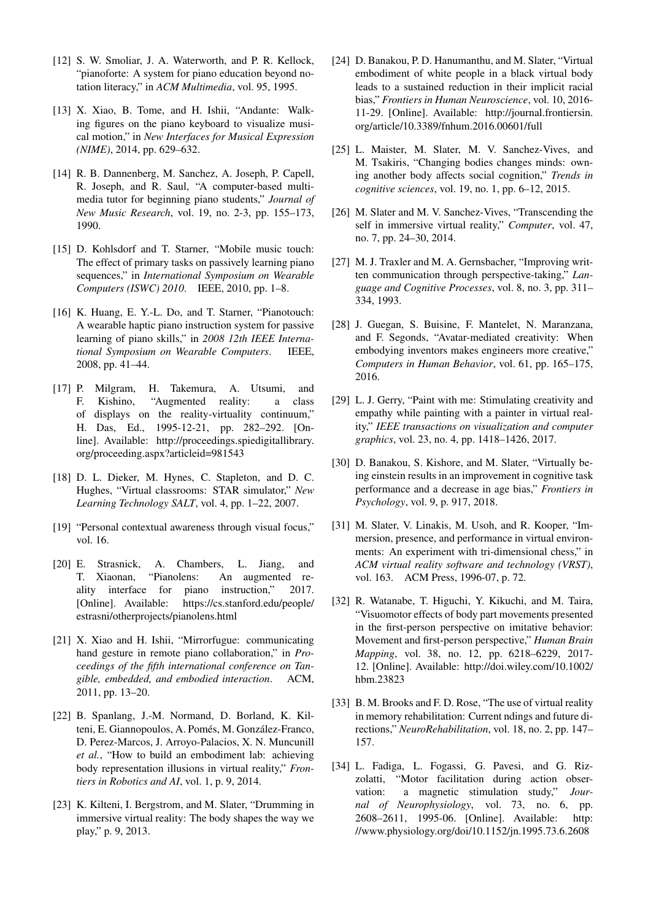- <span id="page-7-0"></span>[12] S. W. Smoliar, J. A. Waterworth, and P. R. Kellock, "pianoforte: A system for piano education beyond notation literacy," in *ACM Multimedia*, vol. 95, 1995.
- <span id="page-7-1"></span>[13] X. Xiao, B. Tome, and H. Ishii, "Andante: Walking figures on the piano keyboard to visualize musical motion," in *New Interfaces for Musical Expression (NIME)*, 2014, pp. 629–632.
- <span id="page-7-2"></span>[14] R. B. Dannenberg, M. Sanchez, A. Joseph, P. Capell, R. Joseph, and R. Saul, "A computer-based multimedia tutor for beginning piano students," *Journal of New Music Research*, vol. 19, no. 2-3, pp. 155–173, 1990.
- <span id="page-7-3"></span>[15] D. Kohlsdorf and T. Starner, "Mobile music touch: The effect of primary tasks on passively learning piano sequences," in *International Symposium on Wearable Computers (ISWC) 2010*. IEEE, 2010, pp. 1–8.
- <span id="page-7-4"></span>[16] K. Huang, E. Y.-L. Do, and T. Starner, "Pianotouch: A wearable haptic piano instruction system for passive learning of piano skills," in *2008 12th IEEE International Symposium on Wearable Computers*. IEEE, 2008, pp. 41–44.
- <span id="page-7-5"></span>[17] P. Milgram, H. Takemura, A. Utsumi, and F. Kishino, "Augmented reality: a class of displays on the reality-virtuality continuum," H. Das, Ed., 1995-12-21, pp. 282–292. [Online]. Available: [http://proceedings.spiedigitallibrary.](http://proceedings.spiedigitallibrary.org/proceeding.aspx?articleid=981543) [org/proceeding.aspx?articleid=981543](http://proceedings.spiedigitallibrary.org/proceeding.aspx?articleid=981543)
- <span id="page-7-6"></span>[18] D. L. Dieker, M. Hynes, C. Stapleton, and D. C. Hughes, "Virtual classrooms: STAR simulator," *New Learning Technology SALT*, vol. 4, pp. 1–22, 2007.
- <span id="page-7-7"></span>[19] "Personal contextual awareness through visual focus," vol. 16.
- <span id="page-7-8"></span>[20] E. Strasnick, A. Chambers, L. Jiang, and T. Xiaonan, "Pianolens: An augmented reality interface for piano instruction," 2017. [Online]. Available: [https://cs.stanford.edu/people/](https://cs.stanford.edu/people/estrasni/otherprojects/pianolens.html) [estrasni/otherprojects/pianolens.html](https://cs.stanford.edu/people/estrasni/otherprojects/pianolens.html)
- <span id="page-7-9"></span>[21] X. Xiao and H. Ishii, "Mirrorfugue: communicating hand gesture in remote piano collaboration," in *Proceedings of the fifth international conference on Tangible, embedded, and embodied interaction*. ACM, 2011, pp. 13–20.
- <span id="page-7-10"></span>[22] B. Spanlang, J.-M. Normand, D. Borland, K. Kilteni, E. Giannopoulos, A. Pomés, M. González-Franco, D. Perez-Marcos, J. Arroyo-Palacios, X. N. Muncunill *et al.*, "How to build an embodiment lab: achieving body representation illusions in virtual reality," *Frontiers in Robotics and AI*, vol. 1, p. 9, 2014.
- <span id="page-7-11"></span>[23] K. Kilteni, I. Bergstrom, and M. Slater, "Drumming in immersive virtual reality: The body shapes the way we play," p. 9, 2013.
- <span id="page-7-12"></span>[24] D. Banakou, P. D. Hanumanthu, and M. Slater, "Virtual embodiment of white people in a black virtual body leads to a sustained reduction in their implicit racial bias," *Frontiers in Human Neuroscience*, vol. 10, 2016- 11-29. [Online]. Available: [http://journal.frontiersin.](http://journal.frontiersin.org/article/10.3389/fnhum.2016.00601/full) [org/article/10.3389/fnhum.2016.00601/full](http://journal.frontiersin.org/article/10.3389/fnhum.2016.00601/full)
- <span id="page-7-13"></span>[25] L. Maister, M. Slater, M. V. Sanchez-Vives, and M. Tsakiris, "Changing bodies changes minds: owning another body affects social cognition," *Trends in cognitive sciences*, vol. 19, no. 1, pp. 6–12, 2015.
- <span id="page-7-14"></span>[26] M. Slater and M. V. Sanchez-Vives, "Transcending the self in immersive virtual reality," *Computer*, vol. 47, no. 7, pp. 24–30, 2014.
- <span id="page-7-15"></span>[27] M. J. Traxler and M. A. Gernsbacher, "Improving written communication through perspective-taking," *Language and Cognitive Processes*, vol. 8, no. 3, pp. 311– 334, 1993.
- [28] J. Guegan, S. Buisine, F. Mantelet, N. Maranzana, and F. Segonds, "Avatar-mediated creativity: When embodying inventors makes engineers more creative," *Computers in Human Behavior*, vol. 61, pp. 165–175, 2016.
- [29] L. J. Gerry, "Paint with me: Stimulating creativity and empathy while painting with a painter in virtual reality," *IEEE transactions on visualization and computer graphics*, vol. 23, no. 4, pp. 1418–1426, 2017.
- <span id="page-7-16"></span>[30] D. Banakou, S. Kishore, and M. Slater, "Virtually being einstein results in an improvement in cognitive task performance and a decrease in age bias," *Frontiers in Psychology*, vol. 9, p. 917, 2018.
- <span id="page-7-17"></span>[31] M. Slater, V. Linakis, M. Usoh, and R. Kooper, "Immersion, presence, and performance in virtual environments: An experiment with tri-dimensional chess," in *ACM virtual reality software and technology (VRST)*, vol. 163. ACM Press, 1996-07, p. 72.
- <span id="page-7-18"></span>[32] R. Watanabe, T. Higuchi, Y. Kikuchi, and M. Taira, "Visuomotor effects of body part movements presented in the first-person perspective on imitative behavior: Movement and first-person perspective," *Human Brain Mapping*, vol. 38, no. 12, pp. 6218–6229, 2017- 12. [Online]. Available: [http://doi.wiley.com/10.1002/](http://doi.wiley.com/10.1002/hbm.23823) [hbm.23823](http://doi.wiley.com/10.1002/hbm.23823)
- <span id="page-7-19"></span>[33] B. M. Brooks and F. D. Rose, "The use of virtual reality in memory rehabilitation: Current ndings and future directions," *NeuroRehabilitation*, vol. 18, no. 2, pp. 147– 157.
- <span id="page-7-20"></span>[34] L. Fadiga, L. Fogassi, G. Pavesi, and G. Rizzolatti, "Motor facilitation during action observation: a magnetic stimulation study," *Journal of Neurophysiology*, vol. 73, no. 6, pp. 2608–2611, 1995-06. [Online]. Available: [http:](http://www.physiology.org/doi/10.1152/jn.1995.73.6.2608) [//www.physiology.org/doi/10.1152/jn.1995.73.6.2608](http://www.physiology.org/doi/10.1152/jn.1995.73.6.2608)